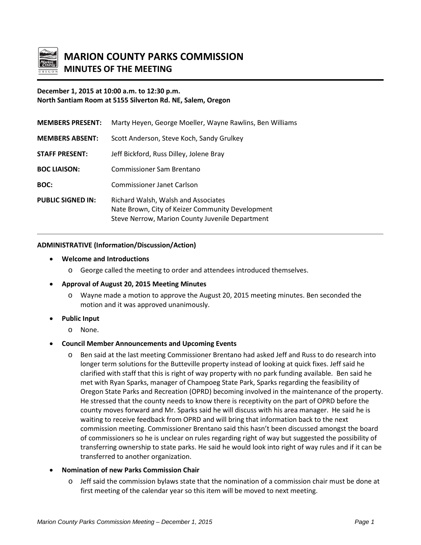

# **MARION COUNTY PARKS COMMISSION MINUTES OF THE MEETING**

# **December 1, 2015 at 10:00 a.m. to 12:30 p.m. North Santiam Room at 5155 Silverton Rd. NE, Salem, Oregon**

| <b>MEMBERS PRESENT:</b>  | Marty Heyen, George Moeller, Wayne Rawlins, Ben Williams                                                                                   |
|--------------------------|--------------------------------------------------------------------------------------------------------------------------------------------|
| <b>MEMBERS ABSENT:</b>   | Scott Anderson, Steve Koch, Sandy Grulkey                                                                                                  |
| <b>STAFF PRESENT:</b>    | Jeff Bickford, Russ Dilley, Jolene Bray                                                                                                    |
| <b>BOC LIAISON:</b>      | Commissioner Sam Brentano                                                                                                                  |
| BOC:                     | Commissioner Janet Carlson                                                                                                                 |
| <b>PUBLIC SIGNED IN:</b> | Richard Walsh, Walsh and Associates<br>Nate Brown, City of Keizer Community Development<br>Steve Nerrow, Marion County Juvenile Department |

#### **ADMINISTRATIVE (Information/Discussion/Action)**

- **Welcome and Introductions**
	- o George called the meeting to order and attendees introduced themselves.
- **Approval of August 20, 2015 Meeting Minutes**
	- o Wayne made a motion to approve the August 20, 2015 meeting minutes. Ben seconded the motion and it was approved unanimously.
- **Public Input**
	- o None.

## • **Council Member Announcements and Upcoming Events**

o Ben said at the last meeting Commissioner Brentano had asked Jeff and Russ to do research into longer term solutions for the Butteville property instead of looking at quick fixes. Jeff said he clarified with staff that this is right of way property with no park funding available. Ben said he met with Ryan Sparks, manager of Champoeg State Park, Sparks regarding the feasibility of Oregon State Parks and Recreation (OPRD) becoming involved in the maintenance of the property. He stressed that the county needs to know there is receptivity on the part of OPRD before the county moves forward and Mr. Sparks said he will discuss with his area manager. He said he is waiting to receive feedback from OPRD and will bring that information back to the next commission meeting. Commissioner Brentano said this hasn't been discussed amongst the board of commissioners so he is unclear on rules regarding right of way but suggested the possibility of transferring ownership to state parks. He said he would look into right of way rules and if it can be transferred to another organization.

## • **Nomination of new Parks Commission Chair**

o Jeff said the commission bylaws state that the nomination of a commission chair must be done at first meeting of the calendar year so this item will be moved to next meeting.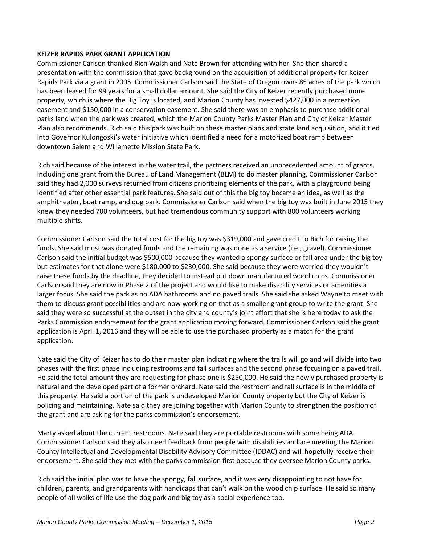## **KEIZER RAPIDS PARK GRANT APPLICATION**

Commissioner Carlson thanked Rich Walsh and Nate Brown for attending with her. She then shared a presentation with the commission that gave background on the acquisition of additional property for Keizer Rapids Park via a grant in 2005. Commissioner Carlson said the State of Oregon owns 85 acres of the park which has been leased for 99 years for a small dollar amount. She said the City of Keizer recently purchased more property, which is where the Big Toy is located, and Marion County has invested \$427,000 in a recreation easement and \$150,000 in a conservation easement. She said there was an emphasis to purchase additional parks land when the park was created, which the Marion County Parks Master Plan and City of Keizer Master Plan also recommends. Rich said this park was built on these master plans and state land acquisition, and it tied into Governor Kulongoski's water initiative which identified a need for a motorized boat ramp between downtown Salem and Willamette Mission State Park.

Rich said because of the interest in the water trail, the partners received an unprecedented amount of grants, including one grant from the Bureau of Land Management (BLM) to do master planning. Commissioner Carlson said they had 2,000 surveys returned from citizens prioritizing elements of the park, with a playground being identified after other essential park features. She said out of this the big toy became an idea, as well as the amphitheater, boat ramp, and dog park. Commissioner Carlson said when the big toy was built in June 2015 they knew they needed 700 volunteers, but had tremendous community support with 800 volunteers working multiple shifts.

Commissioner Carlson said the total cost for the big toy was \$319,000 and gave credit to Rich for raising the funds. She said most was donated funds and the remaining was done as a service (i.e., gravel). Commissioner Carlson said the initial budget was \$500,000 because they wanted a spongy surface or fall area under the big toy but estimates for that alone were \$180,000 to \$230,000. She said because they were worried they wouldn't raise these funds by the deadline, they decided to instead put down manufactured wood chips. Commissioner Carlson said they are now in Phase 2 of the project and would like to make disability services or amenities a larger focus. She said the park as no ADA bathrooms and no paved trails. She said she asked Wayne to meet with them to discuss grant possibilities and are now working on that as a smaller grant group to write the grant. She said they were so successful at the outset in the city and county's joint effort that she is here today to ask the Parks Commission endorsement for the grant application moving forward. Commissioner Carlson said the grant application is April 1, 2016 and they will be able to use the purchased property as a match for the grant application.

Nate said the City of Keizer has to do their master plan indicating where the trails will go and will divide into two phases with the first phase including restrooms and fall surfaces and the second phase focusing on a paved trail. He said the total amount they are requesting for phase one is \$250,000. He said the newly purchased property is natural and the developed part of a former orchard. Nate said the restroom and fall surface is in the middle of this property. He said a portion of the park is undeveloped Marion County property but the City of Keizer is policing and maintaining. Nate said they are joining together with Marion County to strengthen the position of the grant and are asking for the parks commission's endorsement.

Marty asked about the current restrooms. Nate said they are portable restrooms with some being ADA. Commissioner Carlson said they also need feedback from people with disabilities and are meeting the Marion County Intellectual and Developmental Disability Advisory Committee (IDDAC) and will hopefully receive their endorsement. She said they met with the parks commission first because they oversee Marion County parks.

Rich said the initial plan was to have the spongy, fall surface, and it was very disappointing to not have for children, parents, and grandparents with handicaps that can't walk on the wood chip surface. He said so many people of all walks of life use the dog park and big toy as a social experience too.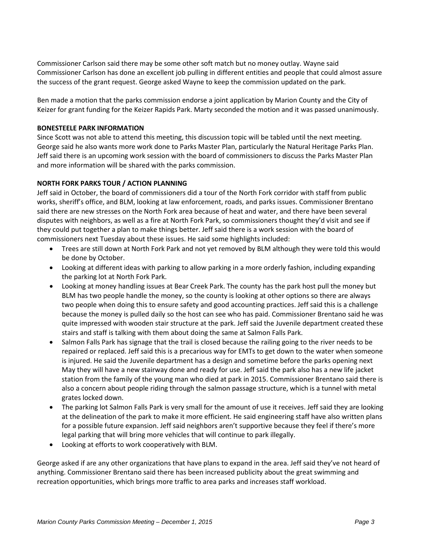Commissioner Carlson said there may be some other soft match but no money outlay. Wayne said Commissioner Carlson has done an excellent job pulling in different entities and people that could almost assure the success of the grant request. George asked Wayne to keep the commission updated on the park.

Ben made a motion that the parks commission endorse a joint application by Marion County and the City of Keizer for grant funding for the Keizer Rapids Park. Marty seconded the motion and it was passed unanimously.

## **BONESTEELE PARK INFORMATION**

Since Scott was not able to attend this meeting, this discussion topic will be tabled until the next meeting. George said he also wants more work done to Parks Master Plan, particularly the Natural Heritage Parks Plan. Jeff said there is an upcoming work session with the board of commissioners to discuss the Parks Master Plan and more information will be shared with the parks commission.

# **NORTH FORK PARKS TOUR / ACTION PLANNING**

Jeff said in October, the board of commissioners did a tour of the North Fork corridor with staff from public works, sheriff's office, and BLM, looking at law enforcement, roads, and parks issues. Commissioner Brentano said there are new stresses on the North Fork area because of heat and water, and there have been several disputes with neighbors, as well as a fire at North Fork Park, so commissioners thought they'd visit and see if they could put together a plan to make things better. Jeff said there is a work session with the board of commissioners next Tuesday about these issues. He said some highlights included:

- Trees are still down at North Fork Park and not yet removed by BLM although they were told this would be done by October.
- Looking at different ideas with parking to allow parking in a more orderly fashion, including expanding the parking lot at North Fork Park.
- Looking at money handling issues at Bear Creek Park. The county has the park host pull the money but BLM has two people handle the money, so the county is looking at other options so there are always two people when doing this to ensure safety and good accounting practices. Jeff said this is a challenge because the money is pulled daily so the host can see who has paid. Commissioner Brentano said he was quite impressed with wooden stair structure at the park. Jeff said the Juvenile department created these stairs and staff is talking with them about doing the same at Salmon Falls Park.
- Salmon Falls Park has signage that the trail is closed because the railing going to the river needs to be repaired or replaced. Jeff said this is a precarious way for EMTs to get down to the water when someone is injured. He said the Juvenile department has a design and sometime before the parks opening next May they will have a new stairway done and ready for use. Jeff said the park also has a new life jacket station from the family of the young man who died at park in 2015. Commissioner Brentano said there is also a concern about people riding through the salmon passage structure, which is a tunnel with metal grates locked down.
- The parking lot Salmon Falls Park is very small for the amount of use it receives. Jeff said they are looking at the delineation of the park to make it more efficient. He said engineering staff have also written plans for a possible future expansion. Jeff said neighbors aren't supportive because they feel if there's more legal parking that will bring more vehicles that will continue to park illegally.
- Looking at efforts to work cooperatively with BLM.

George asked if are any other organizations that have plans to expand in the area. Jeff said they've not heard of anything. Commissioner Brentano said there has been increased publicity about the great swimming and recreation opportunities, which brings more traffic to area parks and increases staff workload.